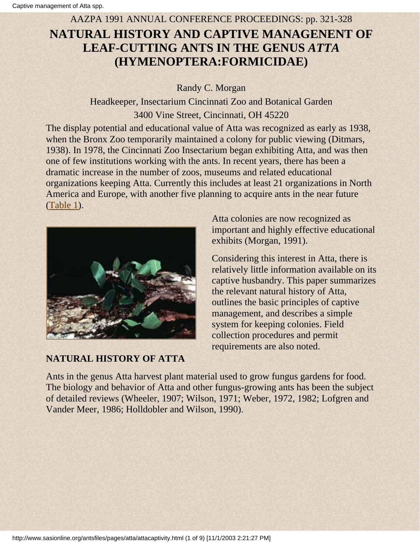#### AAZPA 1991 ANNUAL CONFERENCE PROCEEDINGS: pp. 321-328

# **NATURAL HISTORY AND CAPTIVE MANAGENENT OF LEAF-CUTTING ANTS IN THE GENUS** *ATTA* **(HYMENOPTERA:FORMICIDAE)**

Randy C. Morgan

Headkeeper, Insectarium Cincinnati Zoo and Botanical Garden 3400 Vine Street, Cincinnati, OH 45220

The display potential and educational value of Atta was recognized as early as 1938, when the Bronx Zoo temporarily maintained a colony for public viewing (Ditmars, 1938). In 1978, the Cincinnati Zoo Insectarium began exhibiting Atta, and was then one of few institutions working with the ants. In recent years, there has been a dramatic increase in the number of zoos, museums and related educational organizations keeping Atta. Currently this includes at least 21 organizations in North America and Europe, with another five planning to acquire ants in the near future ([Table 1](http://www.sasionline.org/antsfiles/pages/atta/table1.html)).



## **NATURAL HISTORY OF ATTA**

Atta colonies are now recognized as important and highly effective educational exhibits (Morgan, 1991).

Considering this interest in Atta, there is relatively little information available on its captive husbandry. This paper summarizes the relevant natural history of Atta, outlines the basic principles of captive management, and describes a simple system for keeping colonies. Field collection procedures and permit requirements are also noted.

Ants in the genus Atta harvest plant material used to grow fungus gardens for food. The biology and behavior of Atta and other fungus-growing ants has been the subject of detailed reviews (Wheeler, 1907; Wilson, 1971; Weber, 1972, 1982; Lofgren and Vander Meer, 1986; Holldobler and Wilson, 1990).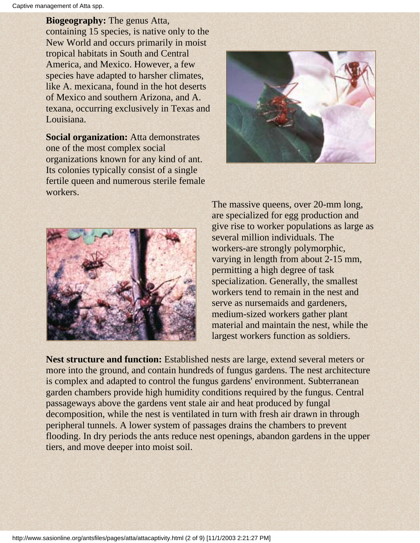**Biogeography:** The genus Atta, containing 15 species, is native only to the New World and occurs primarily in moist tropical habitats in South and Central America, and Mexico. However, a few species have adapted to harsher climates, like A. mexicana, found in the hot deserts of Mexico and southern Arizona, and A. texana, occurring exclusively in Texas and Louisiana.

**Social organization:** Atta demonstrates one of the most complex social organizations known for any kind of ant. Its colonies typically consist of a single fertile queen and numerous sterile female workers.





The massive queens, over 20-mm long, are specialized for egg production and give rise to worker populations as large as several million individuals. The workers-are strongly polymorphic, varying in length from about 2-15 mm, permitting a high degree of task specialization. Generally, the smallest workers tend to remain in the nest and serve as nursemaids and gardeners, medium-sized workers gather plant material and maintain the nest, while the largest workers function as soldiers.

**Nest structure and function:** Established nests are large, extend several meters or more into the ground, and contain hundreds of fungus gardens. The nest architecture is complex and adapted to control the fungus gardens' environment. Subterranean garden chambers provide high humidity conditions required by the fungus. Central passageways above the gardens vent stale air and heat produced by fungal decomposition, while the nest is ventilated in turn with fresh air drawn in through peripheral tunnels. A lower system of passages drains the chambers to prevent flooding. In dry periods the ants reduce nest openings, abandon gardens in the upper tiers, and move deeper into moist soil.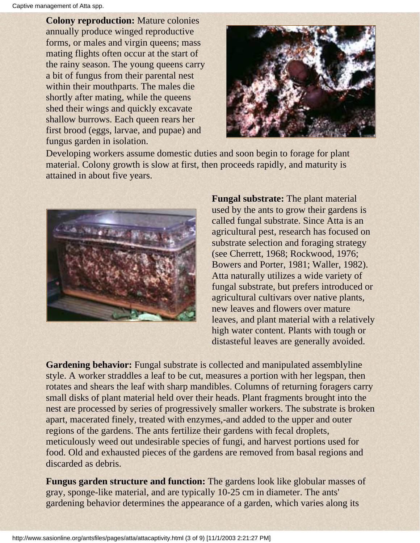**Colony reproduction:** Mature colonies annually produce winged reproductive forms, or males and virgin queens; mass mating flights often occur at the start of the rainy season. The young queens carry a bit of fungus from their parental nest within their mouthparts. The males die shortly after mating, while the queens shed their wings and quickly excavate shallow burrows. Each queen rears her first brood (eggs, larvae, and pupae) and fungus garden in isolation.



Developing workers assume domestic duties and soon begin to forage for plant material. Colony growth is slow at first, then proceeds rapidly, and maturity is attained in about five years.



**Fungal substrate:** The plant material used by the ants to grow their gardens is called fungal substrate. Since Atta is an agricultural pest, research has focused on substrate selection and foraging strategy (see Cherrett, 1968; Rockwood, 1976; Bowers and Porter, 1981; Waller, 1982). Atta naturally utilizes a wide variety of fungal substrate, but prefers introduced or agricultural cultivars over native plants, new leaves and flowers over mature leaves, and plant material with a relatively high water content. Plants with tough or distasteful leaves are generally avoided.

**Gardening behavior:** Fungal substrate is collected and manipulated assemblyline style. A worker straddles a leaf to be cut, measures a portion with her legspan, then rotates and shears the leaf with sharp mandibles. Columns of returning foragers carry small disks of plant material held over their heads. Plant fragments brought into the nest are processed by series of progressively smaller workers. The substrate is broken apart, macerated finely, treated with enzymes,-and added to the upper and outer regions of the gardens. The ants fertilize their gardens with fecal droplets, meticulously weed out undesirable species of fungi, and harvest portions used for food. Old and exhausted pieces of the gardens are removed from basal regions and discarded as debris.

**Fungus garden structure and function:** The gardens look like globular masses of gray, sponge-like material, and are typically 10-25 cm in diameter. The ants' gardening behavior determines the appearance of a garden, which varies along its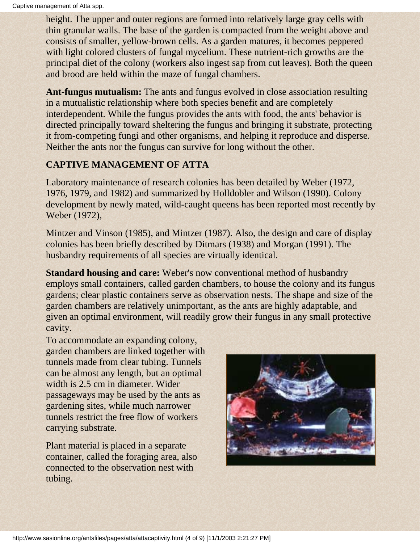height. The upper and outer regions are formed into relatively large gray cells with thin granular walls. The base of the garden is compacted from the weight above and consists of smaller, yellow-brown cells. As a garden matures, it becomes peppered with light colored clusters of fungal mycelium. These nutrient-rich growths are the principal diet of the colony (workers also ingest sap from cut leaves). Both the queen and brood are held within the maze of fungal chambers.

**Ant-fungus mutualism:** The ants and fungus evolved in close association resulting in a mutualistic relationship where both species benefit and are completely interdependent. While the fungus provides the ants with food, the ants' behavior is directed principally toward sheltering the fungus and bringing it substrate, protecting it from-competing fungi and other organisms, and helping it reproduce and disperse. Neither the ants nor the fungus can survive for long without the other.

## **CAPTIVE MANAGEMENT OF ATTA**

Laboratory maintenance of research colonies has been detailed by Weber (1972, 1976, 1979, and 1982) and summarized by Holldobler and Wilson (1990). Colony development by newly mated, wild-caught queens has been reported most recently by Weber (1972),

Mintzer and Vinson (1985), and Mintzer (1987). Also, the design and care of display colonies has been briefly described by Ditmars (1938) and Morgan (1991). The husbandry requirements of all species are virtually identical.

**Standard housing and care:** Weber's now conventional method of husbandry employs small containers, called garden chambers, to house the colony and its fungus gardens; clear plastic containers serve as observation nests. The shape and size of the garden chambers are relatively unimportant, as the ants are highly adaptable, and given an optimal environment, will readily grow their fungus in any small protective cavity.

To accommodate an expanding colony, garden chambers are linked together with tunnels made from clear tubing. Tunnels can be almost any length, but an optimal width is 2.5 cm in diameter. Wider passageways may be used by the ants as gardening sites, while much narrower tunnels restrict the free flow of workers carrying substrate.

Plant material is placed in a separate container, called the foraging area, also connected to the observation nest with tubing.

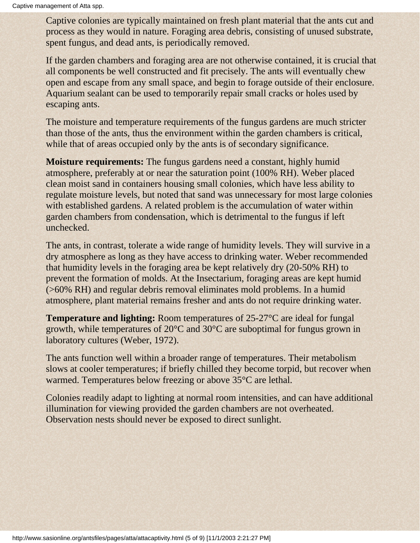Captive colonies are typically maintained on fresh plant material that the ants cut and process as they would in nature. Foraging area debris, consisting of unused substrate, spent fungus, and dead ants, is periodically removed.

If the garden chambers and foraging area are not otherwise contained, it is crucial that all components be well constructed and fit precisely. The ants will eventually chew open and escape from any small space, and begin to forage outside of their enclosure. Aquarium sealant can be used to temporarily repair small cracks or holes used by escaping ants.

The moisture and temperature requirements of the fungus gardens are much stricter than those of the ants, thus the environment within the garden chambers is critical, while that of areas occupied only by the ants is of secondary significance.

**Moisture requirements:** The fungus gardens need a constant, highly humid atmosphere, preferably at or near the saturation point (100% RH). Weber placed clean moist sand in containers housing small colonies, which have less ability to regulate moisture levels, but noted that sand was unnecessary for most large colonies with established gardens. A related problem is the accumulation of water within garden chambers from condensation, which is detrimental to the fungus if left unchecked.

The ants, in contrast, tolerate a wide range of humidity levels. They will survive in a dry atmosphere as long as they have access to drinking water. Weber recommended that humidity levels in the foraging area be kept relatively dry (20-50% RH) to prevent the formation of molds. At the Insectarium, foraging areas are kept humid (>60% RH) and regular debris removal eliminates mold problems. In a humid atmosphere, plant material remains fresher and ants do not require drinking water.

**Temperature and lighting:** Room temperatures of 25-27°C are ideal for fungal growth, while temperatures of 20°C and 30°C are suboptimal for fungus grown in laboratory cultures (Weber, 1972).

The ants function well within a broader range of temperatures. Their metabolism slows at cooler temperatures; if briefly chilled they become torpid, but recover when warmed. Temperatures below freezing or above 35°C are lethal.

Colonies readily adapt to lighting at normal room intensities, and can have additional illumination for viewing provided the garden chambers are not overheated. Observation nests should never be exposed to direct sunlight.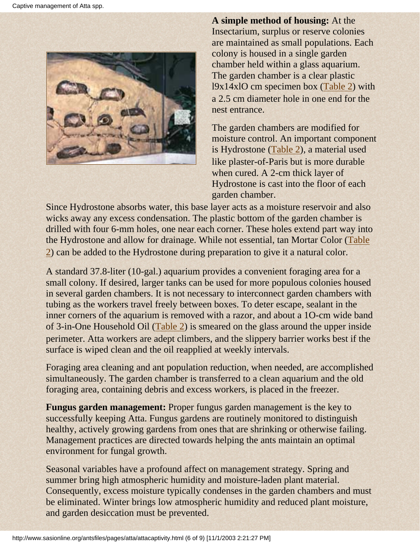

**A simple method of housing:** At the Insectarium, surplus or reserve colonies are maintained as small populations. Each colony is housed in a single garden chamber held within a glass aquarium. The garden chamber is a clear plastic l9x14xlO cm specimen box ([Table 2\)](http://www.sasionline.org/antsfiles/pages/atta/table2.html) with a 2.5 cm diameter hole in one end for the nest entrance.

The garden chambers are modified for moisture control. An important component is Hydrostone [\(Table 2\)](http://www.sasionline.org/antsfiles/pages/atta/table2.html), a material used like plaster-of-Paris but is more durable when cured. A 2-cm thick layer of Hydrostone is cast into the floor of each garden chamber.

Since Hydrostone absorbs water, this base layer acts as a moisture reservoir and also wicks away any excess condensation. The plastic bottom of the garden chamber is drilled with four 6-mm holes, one near each corner. These holes extend part way into the Hydrostone and allow for drainage. While not essential, tan Mortar Color [\(Table](http://www.sasionline.org/antsfiles/pages/atta/table2.html) [2](http://www.sasionline.org/antsfiles/pages/atta/table2.html)) can be added to the Hydrostone during preparation to give it a natural color.

A standard 37.8-liter (10-gal.) aquarium provides a convenient foraging area for a small colony. If desired, larger tanks can be used for more populous colonies housed in several garden chambers. It is not necessary to interconnect garden chambers with tubing as the workers travel freely between boxes. To deter escape, sealant in the inner corners of the aquarium is removed with a razor, and about a 1O-cm wide band of 3-in-One Household Oil [\(Table 2\)](http://www.sasionline.org/antsfiles/pages/atta/table2.html) is smeared on the glass around the upper inside perimeter. Atta workers are adept climbers, and the slippery barrier works best if the surface is wiped clean and the oil reapplied at weekly intervals.

Foraging area cleaning and ant population reduction, when needed, are accomplished simultaneously. The garden chamber is transferred to a clean aquarium and the old foraging area, containing debris and excess workers, is placed in the freezer.

**Fungus garden management:** Proper fungus garden management is the key to successfully keeping Atta. Fungus gardens are routinely monitored to distinguish healthy, actively growing gardens from ones that are shrinking or otherwise failing. Management practices are directed towards helping the ants maintain an optimal environment for fungal growth.

Seasonal variables have a profound affect on management strategy. Spring and summer bring high atmospheric humidity and moisture-laden plant material. Consequently, excess moisture typically condenses in the garden chambers and must be eliminated. Winter brings low atmospheric humidity and reduced plant moisture, and garden desiccation must be prevented.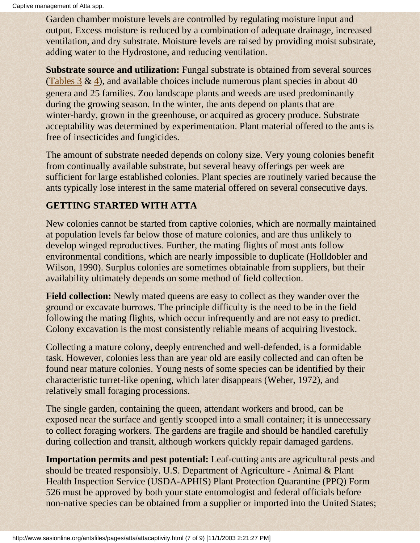Garden chamber moisture levels are controlled by regulating moisture input and output. Excess moisture is reduced by a combination of adequate drainage, increased ventilation, and dry substrate. Moisture levels are raised by providing moist substrate, adding water to the Hydrostone, and reducing ventilation.

**Substrate source and utilization:** Fungal substrate is obtained from several sources (Tables  $3 \& 4$  $3 \& 4$ ), and available choices include numerous plant species in about 40 genera and 25 families. Zoo landscape plants and weeds are used predominantly during the growing season. In the winter, the ants depend on plants that are winter-hardy, grown in the greenhouse, or acquired as grocery produce. Substrate acceptability was determined by experimentation. Plant material offered to the ants is free of insecticides and fungicides.

The amount of substrate needed depends on colony size. Very young colonies benefit from continually available substrate, but several heavy offerings per week are sufficient for large established colonies. Plant species are routinely varied because the ants typically lose interest in the same material offered on several consecutive days.

## **GETTING STARTED WITH ATTA**

New colonies cannot be started from captive colonies, which are normally maintained at population levels far below those of mature colonies, and are thus unlikely to develop winged reproductives. Further, the mating flights of most ants follow environmental conditions, which are nearly impossible to duplicate (Holldobler and Wilson, 1990). Surplus colonies are sometimes obtainable from suppliers, but their availability ultimately depends on some method of field collection.

**Field collection:** Newly mated queens are easy to collect as they wander over the ground or excavate burrows. The principle difficulty is the need to be in the field following the mating flights, which occur infrequently and are not easy to predict. Colony excavation is the most consistently reliable means of acquiring livestock.

Collecting a mature colony, deeply entrenched and well-defended, is a formidable task. However, colonies less than are year old are easily collected and can often be found near mature colonies. Young nests of some species can be identified by their characteristic turret-like opening, which later disappears (Weber, 1972), and relatively small foraging processions.

The single garden, containing the queen, attendant workers and brood, can be exposed near the surface and gently scooped into a small container; it is unnecessary to collect foraging workers. The gardens are fragile and should be handled carefully during collection and transit, although workers quickly repair damaged gardens.

**Importation permits and pest potential:** Leaf-cutting ants are agricultural pests and should be treated responsibly. U.S. Department of Agriculture - Animal & Plant Health Inspection Service (USDA-APHIS) Plant Protection Quarantine (PPQ) Form 526 must be approved by both your state entomologist and federal officials before non-native species can be obtained from a supplier or imported into the United States;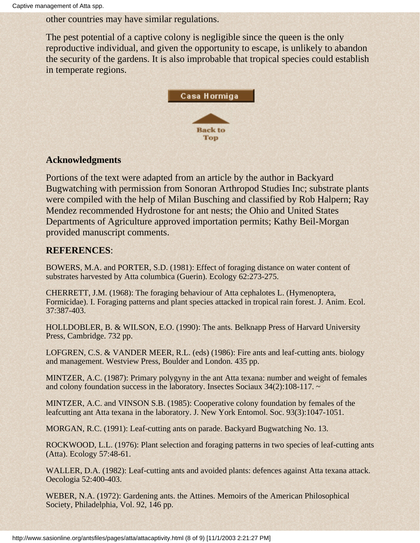other countries may have similar regulations.

The pest potential of a captive colony is negligible since the queen is the only reproductive individual, and given the opportunity to escape, is unlikely to abandon the security of the gardens. It is also improbable that tropical species could establish in temperate regions.



#### **Acknowledgments**

Portions of the text were adapted from an article by the author in Backyard Bugwatching with permission from Sonoran Arthropod Studies Inc; substrate plants were compiled with the help of Milan Busching and classified by Rob Halpern; Ray Mendez recommended Hydrostone for ant nests; the Ohio and United States Departments of Agriculture approved importation permits; Kathy Beil-Morgan provided manuscript comments.

### **REFERENCES**:

BOWERS, M.A. and PORTER, S.D. (1981): Effect of foraging distance on water content of substrates harvested by Atta columbica (Guerin). Ecology 62:273-275.

CHERRETT, J.M. (1968): The foraging behaviour of Atta cephalotes L. (Hymenoptera, Formicidae). I. Foraging patterns and plant species attacked in tropical rain forest. J. Anim. Ecol. 37:387-403.

HOLLDOBLER, B. & WILSON, E.O. (1990): The ants. Belknapp Press of Harvard University Press, Cambridge. 732 pp.

LOFGREN, C.S. & VANDER MEER, R.L. (eds) (1986): Fire ants and leaf-cutting ants. biology and management. Westview Press, Boulder and London. 435 pp.

MINTZER, A.C. (1987): Primary polygyny in the ant Atta texana: number and weight of females and colony foundation success in the laboratory. Insectes Sociaux 34(2):108-117. ~

MINTZER, A.C. and VINSON S.B. (1985): Cooperative colony foundation by females of the leafcutting ant Atta texana in the laboratory. J. New York Entomol. Soc. 93(3):1047-1051.

MORGAN, R.C. (1991): Leaf-cutting ants on parade. Backyard Bugwatching No. 13.

ROCKWOOD, L.L. (1976): Plant selection and foraging patterns in two species of leaf-cutting ants (Atta). Ecology 57:48-61.

WALLER, D.A. (1982): Leaf-cutting ants and avoided plants: defences against Atta texana attack. Oecologia 52:400-403.

WEBER, N.A. (1972): Gardening ants. the Attines. Memoirs of the American Philosophical Society, Philadelphia, Vol. 92, 146 pp.